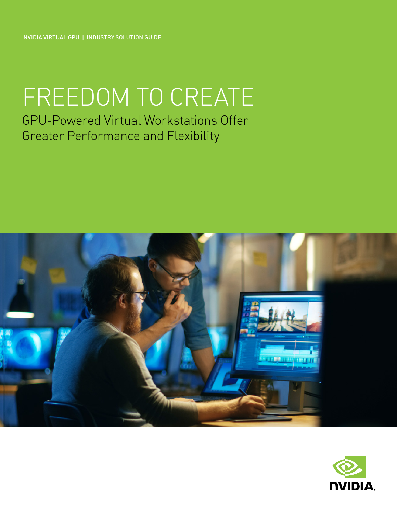NVIDIA VIRTUAL GPU | INDUSTRY SOLUTION GUIDE

# FREEDOM TO CREATE

GPU-Powered Virtual Workstations Offer Greater Performance and Flexibility



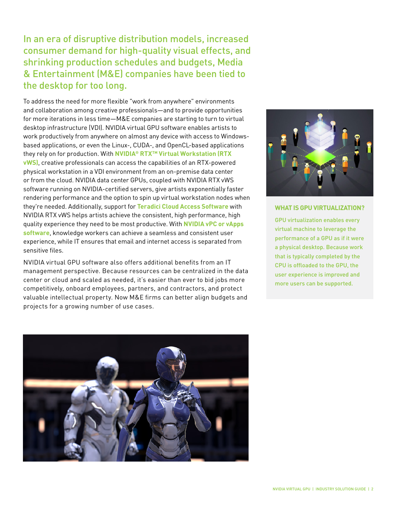In an era of disruptive distribution models, increased consumer demand for high-quality visual effects, and shrinking production schedules and budgets, Media & Entertainment (M&E) companies have been tied to the desktop for too long.

To address the need for more flexible "work from anywhere" environments and collaboration among creative professionals—and to provide opportunities for more iterations in less time—M&E companies are starting to turn to virtual desktop infrastructure (VDI). NVIDIA virtual GPU software enables artists to work productively from anywhere on almost any device with access to Windowsbased applications, or even the Linux-, CUDA-, and OpenCL-based applications they rely on for production. With **[NVIDIA® RTXTM Virtual Workstation \(RTX](https://www.nvidia.com/en-us/design-visualization/quadro-vdws/)  [vWS\)](https://www.nvidia.com/en-us/design-visualization/quadro-vdws/)**, creative professionals can access the capabilities of an RTX-powered physical workstation in a VDI environment from an on-premise data center or from the cloud. NVIDIA data center GPUs, coupled with NVIDIA RTX vWS software running on NVIDIA-certified servers, give artists exponentially faster rendering performance and the option to spin up virtual workstation nodes when they're needed. Additionally, support for **[Teradici Cloud Access Software](https://www.teradici.com/products/cloud-access/cloud-access-software)** with NVIDIA RTX vWS helps artists achieve the consistent, high performance, high quality experience they need to be most productive. With **[NVIDIA vPC or vApps](https://www.nvidia.com/en-us/data-center/virtual-pc-apps/)  [software](https://www.nvidia.com/en-us/data-center/virtual-pc-apps/)**, knowledge workers can achieve a seamless and consistent user experience, while IT ensures that email and internet access is separated from sensitive files.

NVIDIA virtual GPU software also offers additional benefits from an IT management perspective. Because resources can be centralized in the data center or cloud and scaled as needed, it's easier than ever to bid jobs more competitively, onboard employees, partners, and contractors, and protect valuable intellectual property. Now M&E firms can better align budgets and projects for a growing number of use cases.



#### **WHAT IS GPU VIRTUALIZATION?**

GPU virtualization enables every virtual machine to leverage the performance of a GPU as if it were a physical desktop. Because work that is typically completed by the CPU is offloaded to the GPU, the user experience is improved and more users can be supported.

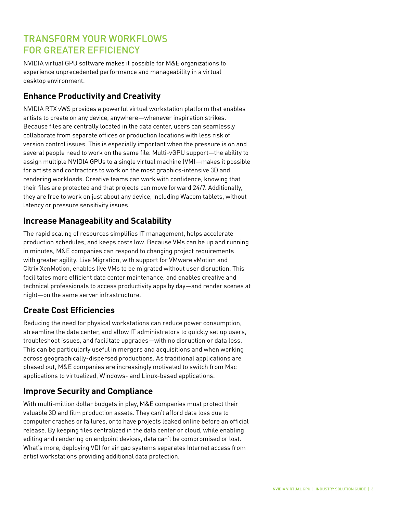# TRANSFORM YOUR WORKFLOWS FOR GREATER EFFICIENCY

NVIDIA virtual GPU software makes it possible for M&E organizations to experience unprecedented performance and manageability in a virtual desktop environment.

## **Enhance Productivity and Creativity**

NVIDIA RTX vWS provides a powerful virtual workstation platform that enables artists to create on any device, anywhere—whenever inspiration strikes. Because files are centrally located in the data center, users can seamlessly collaborate from separate offices or production locations with less risk of version control issues. This is especially important when the pressure is on and several people need to work on the same file. Multi-vGPU support—the ability to assign multiple NVIDIA GPUs to a single virtual machine (VM)—makes it possible for artists and contractors to work on the most graphics-intensive 3D and rendering workloads. Creative teams can work with confidence, knowing that their files are protected and that projects can move forward 24/7. Additionally, they are free to work on just about any device, including Wacom tablets, without latency or pressure sensitivity issues.

## **Increase Manageability and Scalability**

The rapid scaling of resources simplifies IT management, helps accelerate production schedules, and keeps costs low. Because VMs can be up and running in minutes, M&E companies can respond to changing project requirements with greater agility. Live Migration, with support for VMware vMotion and Citrix XenMotion, enables live VMs to be migrated without user disruption. This facilitates more efficient data center maintenance, and enables creative and technical professionals to access productivity apps by day—and render scenes at night—on the same server infrastructure.

## **Create Cost Efficiencies**

Reducing the need for physical workstations can reduce power consumption, streamline the data center, and allow IT administrators to quickly set up users, troubleshoot issues, and facilitate upgrades—with no disruption or data loss. This can be particularly useful in mergers and acquisitions and when working across geographically-dispersed productions. As traditional applications are phased out, M&E companies are increasingly motivated to switch from Mac applications to virtualized, Windows- and Linux-based applications.

## **Improve Security and Compliance**

With multi-million dollar budgets in play, M&E companies must protect their valuable 3D and film production assets. They can't afford data loss due to computer crashes or failures, or to have projects leaked online before an official release. By keeping files centralized in the data center or cloud, while enabling editing and rendering on endpoint devices, data can't be compromised or lost. What's more, deploying VDI for air gap systems separates Internet access from artist workstations providing additional data protection.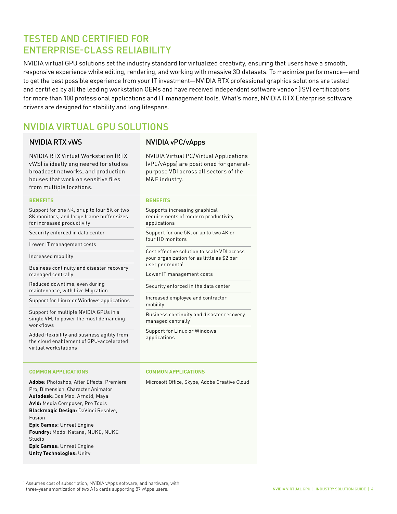## TESTED AND CERTIFIED FOR ENTERPRISE-CLASS RELIABILITY

NVIDIA virtual GPU solutions set the industry standard for virtualized creativity, ensuring that users have a smooth, responsive experience while editing, rendering, and working with massive 3D datasets. To maximize performance—and to get the best possible experience from your IT investment—NVIDIA RTX professional graphics solutions are tested and certified by all the leading workstation OEMs and have received independent software vendor (ISV) certifications for more than 100 professional applications and IT management tools. What's more, NVIDIA RTX Enterprise software drivers are designed for stability and long lifespans.

## NVIDIA VIRTUAL GPU SOLUTIONS

#### NVIDIA RTX vWS NVIDIA vPC/vApps

NVIDIA RTX Virtual Workstation (RTX vWS) is ideally engineered for studios, broadcast networks, and production houses that work on sensitive files from multiple locations.

#### **BENEFITS**

Support for one 4K, or up to four 5K or two 8K monitors, and large frame buffer sizes for increased productivity

Security enforced in data center

Lower IT management costs

Increased mobility

Business continuity and disaster recovery managed centrally

Reduced downtime, even during maintenance, with Live Migration

Support for Linux or Windows applications

Support for multiple NVIDIA GPUs in a single VM, to power the most demanding workflows

Added flexibility and business agility from the cloud enablement of GPU-accelerated virtual workstations

#### **COMMON APPLICATIONS**

**Adobe:** Photoshop, After Effects, Premiere Pro, Dimension, Character Animator **Autodesk:** 3ds Max, Arnold, Maya **Avid:** Media Composer, Pro Tools **Blackmagic Design:** DaVinci Resolve, Fusion **Epic Games:** Unreal Engine **Foundry:** Modo, Katana, NUKE, NUKE Studio **Epic Games:** Unreal Engine **Unity Technologies:** Unity

NVIDIA Virtual PC/Virtual Applications (vPC/vApps) are positioned for generalpurpose VDI across all sectors of the M&E industry.

#### **BENEFITS**

Supports increasing graphical requirements of modern productivity applications

Support for one 5K, or up to two 4K or four HD monitors

Cost effective solution to scale VDI across your organization for as little as \$2 per user per month<sup>1</sup>

Lower IT management costs

Security enforced in the data center

Increased employee and contractor mobility

Business continuity and disaster recovery managed centrally

Support for Linux or Windows applications

#### **COMMON APPLICATIONS**

Microsoft Office, Skype, Adobe Creative Cloud

<sup>1</sup> Assumes cost of subscription, NVIDIA vApps software, and hardware, with three-year amortization of two A16 cards supporting 87 vApps users.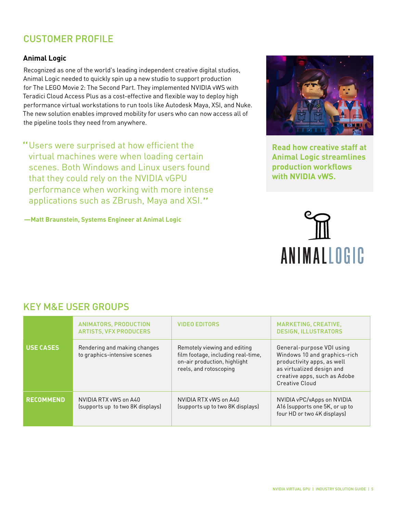## CUSTOMER PROFILE

## **Animal Logic**

Recognized as one of the world's leading independent creative digital studios, Animal Logic needed to quickly spin up a new studio to support production for The LEGO Movie 2: The Second Part. They implemented NVIDIA vWS with Teradici Cloud Access Plus as a cost-effective and flexible way to deploy high performance virtual workstations to run tools like Autodesk Maya, XSI, and Nuke. The new solution enables improved mobility for users who can now access all of the pipeline tools they need from anywhere.

"Users were surprised at how efficient the virtual machines were when loading certain scenes. Both Windows and Linux users found that they could rely on the NVIDIA vGPU performance when working with more intense applications such as ZBrush, Maya and XSI."

**—Matt Braunstein, Systems Engineer at Animal Logic**



**[Read how creative staff at](https://blogs.nvidia.com/blog/2017/08/09/nvidia-grid-for-vfx/)  [Animal Logic streamlines](https://images.nvidia.com/content/pdf/grid/success-story/vgpu-animal-logic-customer-success-story.pdf?_lrsc=59646b1b-6910-468c-9ff0-7f55551aac2b&ncid=so-lin-lt-798)  [production workflows](https://images.nvidia.com/content/pdf/grid/success-story/vgpu-animal-logic-customer-success-story.pdf?_lrsc=59646b1b-6910-468c-9ff0-7f55551aac2b&ncid=so-lin-lt-798)  [with NVIDIA vWS.](https://images.nvidia.com/content/pdf/grid/success-story/vgpu-animal-logic-customer-success-story.pdf?_lrsc=59646b1b-6910-468c-9ff0-7f55551aac2b&ncid=so-lin-lt-798)**



## KEY M&E USER GROUPS

|                  | ANIMATORS, PRODUCTION<br><b>ARTISTS, VFX PRODUCERS</b>       | <b>VIDEO EDITORS</b>                                                                                                         | MARKETING, CREATIVE,<br><b>DESIGN. ILLUSTRATORS</b>                                                                                                                           |
|------------------|--------------------------------------------------------------|------------------------------------------------------------------------------------------------------------------------------|-------------------------------------------------------------------------------------------------------------------------------------------------------------------------------|
| USE CASES        | Rendering and making changes<br>to graphics-intensive scenes | Remotely viewing and editing<br>film footage, including real-time,<br>on-air production, highlight<br>reels, and rotoscoping | General-purpose VDI using<br>Windows 10 and graphics-rich<br>productivity apps, as well<br>as virtualized design and<br>creative apps, such as Adobe<br><b>Creative Cloud</b> |
| <b>RECOMMEND</b> | NVIDIA RTX vWS on A40<br>(supports up to two 8K displays)    | NVIDIA RTX vWS on A40<br>(supports up to two 8K displays)                                                                    | NVIDIA vPC/vApps on NVIDIA<br>A16 (supports one 5K, or up to<br>four HD or two 4K displays)                                                                                   |